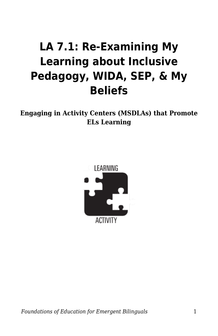## **LA 7.1: Re-Examining My Learning about Inclusive Pedagogy, WIDA, SEP, & My Beliefs**

**Engaging in Activity Centers (MSDLAs) that Promote ELs Learning**



*Foundations of Education for Emergent Bilinguals* 1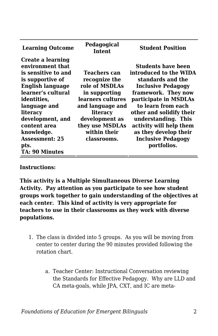| <b>Learning Outcome</b>                                                                                                                                                                                                                                                                  | Pedagogical<br>Intent                                                                                                                                                                     | <b>Student Position</b>                                                                                                                                                                                                                                                                                                        |
|------------------------------------------------------------------------------------------------------------------------------------------------------------------------------------------------------------------------------------------------------------------------------------------|-------------------------------------------------------------------------------------------------------------------------------------------------------------------------------------------|--------------------------------------------------------------------------------------------------------------------------------------------------------------------------------------------------------------------------------------------------------------------------------------------------------------------------------|
| Create a learning<br>environment that<br>is sensitive to and<br>is supportive of<br><b>English language</b><br>learner's cultural<br>identities,<br>language and<br>literacy<br>development, and<br>content area<br>knowledge.<br><b>Assessment: 25</b><br>pts.<br><b>TA: 90 Minutes</b> | Teachers can<br>recognize the<br>role of MSDLAs<br>in supporting<br>learners cultures<br>and language and<br>literacy<br>development as<br>they use MSDLAs<br>within their<br>classrooms. | <b>Students have been</b><br>introduced to the WIDA<br>standards and the<br><b>Inclusive Pedagogy</b><br>framework. They now<br>participate in MSDLAs<br>to learn from each<br>other and solidify their<br>understanding. This<br>activity will help them<br>as they develop their<br><b>Inclusive Pedagogy</b><br>portfolios. |

## **Instructions:**

**This activity is a Multiple Simultaneous Diverse Learning Activity. Pay attention as you participate to see how student groups work together to gain understanding of the objectives at each center. This kind of activity is very appropriate for teachers to use in their classrooms as they work with diverse populations.**

- 1. The class is divided into 5 groups. As you will be moving from center to center during the 90 minutes provided following the rotation chart.
	- a. Teacher Center: Instructional Conversation reviewing the Standards for Effective Pedagogy. Why are LLD and CA meta-goals, while JPA, CXT, and IC are meta-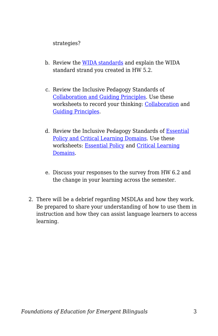strategies?

- b. Review the [WIDA standards](https://byu.box.com/s/woxqkipj4y87v7l5wrd1nw0quwbn524i) and explain the WIDA standard strand you created in HW 5.2.
- c. Review the Inclusive Pedagogy Standards of [Collaboration and Guiding Principles](https://byu.box.com/s/s7fma9rbmx45n76uh3erfjhis6w7ga3c). Use these worksheets to record your thinking: [Collaboration](https://byu.box.com/s/fvh391xeytchuvjemsmy85vesi5bqj8r) and [Guiding Principles](https://byu.box.com/s/ca8o2i1i915cz7c7gkaik9pf4y4nwyqh).
- d. Review the Inclusive Pedagogy Standards of **[Essential](https://byu.box.com/s/62jg92cdbhrc6nrvk3g4ft7euut3e9il)** [Policy and Critical Learning Domains.](https://byu.box.com/s/62jg92cdbhrc6nrvk3g4ft7euut3e9il) Use these worksheets: [Essential Policy](https://byu.box.com/s/3rbn530omf01x0jcksjazif7gbh8ji02) and [Critical Learning](https://byu.box.com/s/v7ikls2qyd5rmtrci4wup3f20vgiocnz) [Domains.](https://byu.box.com/s/v7ikls2qyd5rmtrci4wup3f20vgiocnz)
- e. Discuss your responses to the survey from HW 6.2 and the change in your learning across the semester.
- 2. There will be a debrief regarding MSDLAs and how they work. Be prepared to share your understanding of how to use them in instruction and how they can assist language learners to access learning.